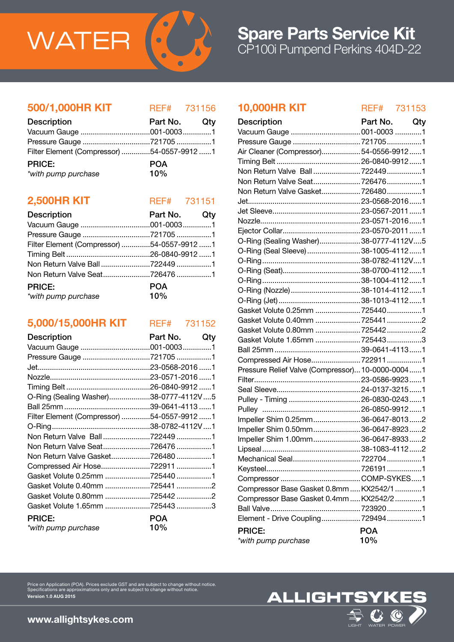

# CP100i Pumpend Perkins 404D-22 Spare Parts Service Kit

## 500/1,000HR KIT REF# 731156

| <b>Description</b>                         | Part No. Qty |  |
|--------------------------------------------|--------------|--|
|                                            |              |  |
|                                            |              |  |
| Filter Element (Compressor) 54-0557-9912 1 |              |  |
| <b>PRICE:</b>                              | <b>POA</b>   |  |
| *with pump purchase                        | 10%          |  |

## **2,500HR KIT** REF# 731151

| <b>Description</b>                         | Part No. Qty      |  |
|--------------------------------------------|-------------------|--|
|                                            |                   |  |
| Pressure Gauge 721705 1                    |                   |  |
| Filter Element (Compressor) 54-0557-9912 1 |                   |  |
|                                            |                   |  |
|                                            |                   |  |
|                                            |                   |  |
| <b>PRICE:</b><br>*with pump purchase       | <b>POA</b><br>10% |  |

# 5,000/15,000HR KIT REF# 731152

| Description                                | Part No.   | Qty |
|--------------------------------------------|------------|-----|
|                                            |            |     |
| Pressure Gauge 721705 1                    |            |     |
|                                            |            |     |
|                                            |            |     |
|                                            |            |     |
| O-Ring (Sealing Washer)38-0777-4112V5      |            |     |
|                                            |            |     |
| Filter Element (Compressor) 54-0557-9912 1 |            |     |
|                                            |            |     |
|                                            |            |     |
|                                            |            |     |
| Non Return Valve Gasket7264801             |            |     |
|                                            |            |     |
| Gasket Volute 0.25mm 725440 1              |            |     |
| Gasket Volute 0.40mm 725441 2              |            |     |
| Gasket Volute 0.80mm 725442 2              |            |     |
| Gasket Volute 1.65mm 725443 3              |            |     |
| <b>PRICE:</b>                              | <b>POA</b> |     |
| *with pump purchase                        | 10%        |     |

# 10,000HR KIT REF# 731153

| Part No.  Qty  |     | <b>Description</b>                               | Part No. Qty |  |
|----------------|-----|--------------------------------------------------|--------------|--|
| 001-00031      |     |                                                  |              |  |
| 7217051        |     | Pressure Gauge 7217051                           |              |  |
| 54-0557-9912 1 |     | Air Cleaner (Compressor)54-0556-99121            |              |  |
| <b>POA</b>     |     |                                                  |              |  |
| 10%            |     |                                                  |              |  |
|                |     |                                                  |              |  |
|                |     | Non Return Valve Gasket 7264801                  |              |  |
| REF# 731151    |     |                                                  |              |  |
| Part No.       | Qty |                                                  |              |  |
| 001-00031      |     |                                                  |              |  |
| 7217051        |     |                                                  |              |  |
| 54-0557-9912 1 |     | O-Ring (Sealing Washer)38-0777-4112V5            |              |  |
| 26-0840-9912 1 |     | O-Ring (Seal Sleeve) 38-1005-4112 1              |              |  |
| 7224491        |     |                                                  |              |  |
| 726476 1       |     |                                                  |              |  |
|                |     |                                                  |              |  |
| <b>POA</b>     |     |                                                  |              |  |
| 10%            |     |                                                  |              |  |
|                |     | Gasket Volute 0.25mm 7254401                     |              |  |
| REF# 731152    |     | Gasket Volute 0.40mm 725441 2                    |              |  |
|                |     | Gasket Volute 0.80mm 725442 2                    |              |  |
| Part No.       | Qty | Gasket Volute 1.65mm 7254433                     |              |  |
| 001-00031      |     |                                                  |              |  |
| 7217051        |     |                                                  |              |  |
| 23-0568-2016 1 |     | Pressure Relief Valve (Compressor) 10-0000-00041 |              |  |
| 23-0571-2016 1 |     |                                                  |              |  |
| 26-0840-9912 1 |     |                                                  |              |  |
| 38-0777-4112V5 |     |                                                  |              |  |
| 39-0641-4113 1 |     |                                                  |              |  |
| 54-0557-9912 1 |     | Impeller Shim 0.25mm36-0647-80132                |              |  |
| 38-0782-4112V1 |     | Impeller Shim 0.50mm36-0647-89232                |              |  |
| 7224491        |     | Impeller Shim 1.00mm36-0647-89332                |              |  |
| 726476 1       |     |                                                  |              |  |
| 726480 1       |     |                                                  |              |  |
| 7229111        |     |                                                  |              |  |
| 7254401        |     |                                                  |              |  |
| 725441 2       |     | Compressor Base Gasket 0.8mm  KX2542/1 1         |              |  |
| 7254422        |     | Compressor Base Gasket 0.4mm  KX2542/2 1         |              |  |
| 7254433        |     |                                                  |              |  |
| <b>POA</b>     |     | Element - Drive Coupling 7294941                 |              |  |
| 10%            |     | <b>PRICE:</b>                                    | <b>POA</b>   |  |
|                |     | *with pump purchase                              | 10%          |  |
|                |     |                                                  |              |  |